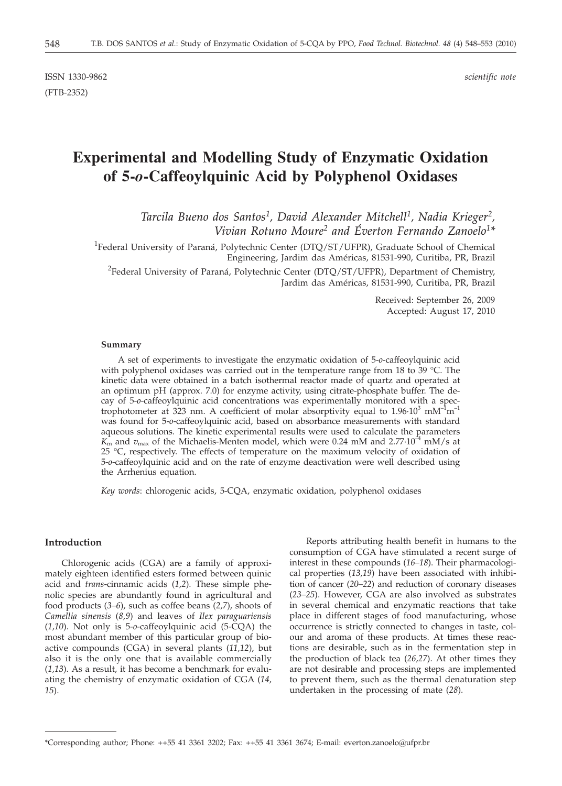ISSN 1330-9862 *scientific note* (FTB-2352)

# **Experimental and Modelling Study of Enzymatic Oxidation of 5-***o***-Caffeoylquinic Acid by Polyphenol Oxidases**

*Tarcila Bueno dos Santos1, David Alexander Mitchell1, Nadia Krieger2, Vivian Rotuno Moure2 and Éverton Fernando Zanoelo1\**

<sup>1</sup>Federal University of Paraná, Polytechnic Center (DTQ/ST/UFPR), Graduate School of Chemical Engineering, Jardim das Américas, 81531-990, Curitiba, PR, Brazil

<sup>2</sup>Federal University of Paraná, Polytechnic Center (DTQ/ST/UFPR), Department of Chemistry, Jardim das Américas, 81531-990, Curitiba, PR, Brazil

> Received: September 26, 2009 Accepted: August 17, 2010

#### **Summary**

A set of experiments to investigate the enzymatic oxidation of 5-*o*-caffeoylquinic acid with polyphenol oxidases was carried out in the temperature range from 18 to  $39 \degree C$ . The kinetic data were obtained in a batch isothermal reactor made of quartz and operated at an optimum pH (approx. 7.0) for enzyme activity, using citrate-phosphate buffer. The decay of 5-*o*-caffeoylquinic acid concentrations was experimentally monitored with a spectrophotometer at 323 nm. A coefficient of molar absorptivity equal to  $1.96 \cdot 10^3$  mM<sup>-1</sup>m<sup>-1</sup> was found for 5-*o*-caffeoylquinic acid, based on absorbance measurements with standard aqueous solutions. The kinetic experimental results were used to calculate the parameters  $K_{\rm m}$  and  $v_{\rm max}$  of the Michaelis-Menten model, which were 0.24 mM and 2.77 $\cdot 10^{-4}$  mM/s at 25 °C, respectively. The effects of temperature on the maximum velocity of oxidation of 5-*o*-caffeoylquinic acid and on the rate of enzyme deactivation were well described using the Arrhenius equation.

*Key words*: chlorogenic acids, 5-CQA, enzymatic oxidation, polyphenol oxidases

## **Introduction**

Chlorogenic acids (CGA) are a family of approximately eighteen identified esters formed between quinic acid and *trans*-cinnamic acids (*1,2*). These simple phenolic species are abundantly found in agricultural and food products (*3–6*), such as coffee beans (*2,7*), shoots of *Camellia sinensis* (*8,9*) and leaves of *Ilex paraguariensis* (*1,10*). Not only is 5-*o*-caffeoylquinic acid (5-CQA) the most abundant member of this particular group of bioactive compounds (CGA) in several plants (*11,12*), but also it is the only one that is available commercially (*1,13*). As a result, it has become a benchmark for evaluating the chemistry of enzymatic oxidation of CGA (*14, 15*).

Reports attributing health benefit in humans to the consumption of CGA have stimulated a recent surge of interest in these compounds (*16–18*). Their pharmacological properties (*13,19*) have been associated with inhibition of cancer (*20–22*) and reduction of coronary diseases (*23–25*). However, CGA are also involved as substrates in several chemical and enzymatic reactions that take place in different stages of food manufacturing, whose occurrence is strictly connected to changes in taste, colour and aroma of these products. At times these reactions are desirable, such as in the fermentation step in the production of black tea (*26,27*). At other times they are not desirable and processing steps are implemented to prevent them, such as the thermal denaturation step undertaken in the processing of mate (*28*).

<sup>\*</sup>Corresponding author; Phone: ++55 41 3361 3202; Fax: ++55 41 3361 3674; E-mail: everton.zanoelo@ufpr.br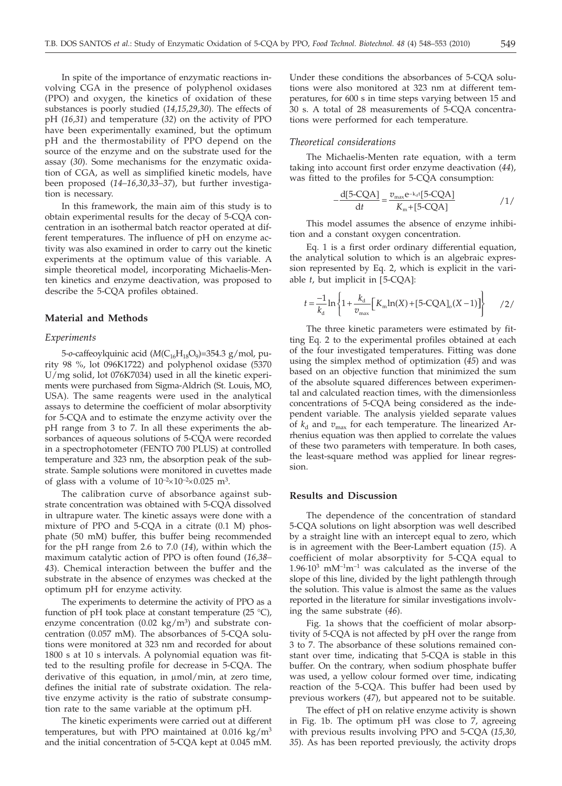In spite of the importance of enzymatic reactions involving CGA in the presence of polyphenol oxidases (PPO) and oxygen, the kinetics of oxidation of these substances is poorly studied (*14,15,29,30*). The effects of pH (*16,31*) and temperature (*32*) on the activity of PPO have been experimentally examined, but the optimum pH and the thermostability of PPO depend on the source of the enzyme and on the substrate used for the assay (*30*). Some mechanisms for the enzymatic oxidation of CGA, as well as simplified kinetic models, have been proposed (*14–16,30,33–37*), but further investigation is necessary.

In this framework, the main aim of this study is to obtain experimental results for the decay of 5-CQA concentration in an isothermal batch reactor operated at different temperatures. The influence of pH on enzyme activity was also examined in order to carry out the kinetic experiments at the optimum value of this variable. A simple theoretical model, incorporating Michaelis-Menten kinetics and enzyme deactivation, was proposed to describe the 5-CQA profiles obtained.

## **Material and Methods**

#### *Experiments*

5-o-caffeoylquinic acid ( $M(C_{16}H_{18}O_9)$ =354.3 g/mol, purity 98 %, lot 096K1722) and polyphenol oxidase (5370 U/mg solid, lot 076K7034) used in all the kinetic experiments were purchased from Sigma-Aldrich (St. Louis, MO, USA). The same reagents were used in the analytical assays to determine the coefficient of molar absorptivity for 5-CQA and to estimate the enzyme activity over the pH range from 3 to 7. In all these experiments the absorbances of aqueous solutions of 5-CQA were recorded in a spectrophotometer (FENTO 700 PLUS) at controlled temperature and 323 nm, the absorption peak of the substrate. Sample solutions were monitored in cuvettes made of glass with a volume of  $10^{-2} \times 10^{-2} \times 0.025$  m<sup>3</sup>.

The calibration curve of absorbance against substrate concentration was obtained with 5-CQA dissolved in ultrapure water. The kinetic assays were done with a mixture of PPO and 5-CQA in a citrate (0.1 M) phosphate (50 mM) buffer, this buffer being recommended for the pH range from 2.6 to 7.0 (*14*), within which the maximum catalytic action of PPO is often found (*16,38– 43*). Chemical interaction between the buffer and the substrate in the absence of enzymes was checked at the optimum pH for enzyme activity.

The experiments to determine the activity of PPO as a function of pH took place at constant temperature  $(25 \text{ °C})$ , enzyme concentration (0.02 kg/m<sup>3</sup>) and substrate concentration (0.057 mM). The absorbances of 5-CQA solutions were monitored at 323 nm and recorded for about 1800 s at 10 s intervals. A polynomial equation was fitted to the resulting profile for decrease in 5-CQA. The derivative of this equation, in  $\mu$ mol/min, at zero time, defines the initial rate of substrate oxidation. The relative enzyme activity is the ratio of substrate consumption rate to the same variable at the optimum pH.

The kinetic experiments were carried out at different temperatures, but with PPO maintained at  $0.016 \text{ kg/m}^3$ and the initial concentration of 5-CQA kept at 0.045 mM. Under these conditions the absorbances of 5-CQA solutions were also monitored at 323 nm at different temperatures, for 600 s in time steps varying between 15 and 30 s. A total of 28 measurements of 5-CQA concentrations were performed for each temperature.

#### *Theoretical considerations*

The Michaelis-Menten rate equation, with a term taking into account first order enzyme deactivation (*44*), was fitted to the profiles for 5-CQA consumption:

$$
-\frac{d[5-CQA]}{dt} = \frac{v_{\text{max}}e^{-k_d t}[5-CQA]}{K_{\text{m}}+[5-CQA]}
$$
 / 1/

This model assumes the absence of enzyme inhibition and a constant oxygen concentration.

Eq. 1 is a first order ordinary differential equation, the analytical solution to which is an algebraic expression represented by Eq. 2, which is explicit in the variable *<sup>t</sup>*, but implicit in [5-CQA]:

$$
t = \frac{-1}{k_{\rm d}} \ln \left\{ 1 + \frac{k_{\rm d}}{v_{\rm max}} \Big[ K_{\rm m} \ln(X) + [5\text{-CQA}]_{\rm o}(X-1) \Big] \right\} \qquad /2 /
$$

The three kinetic parameters were estimated by fitting Eq. 2 to the experimental profiles obtained at each of the four investigated temperatures. Fitting was done using the simplex method of optimization (*45*) and was based on an objective function that minimized the sum of the absolute squared differences between experimental and calculated reaction times, with the dimensionless concentrations of 5-CQA being considered as the independent variable. The analysis yielded separate values of  $k_d$  and  $v_{\text{max}}$  for each temperature. The linearized Arrhenius equation was then applied to correlate the values of these two parameters with temperature. In both cases, the least-square method was applied for linear regression.

## **Results and Discussion**

The dependence of the concentration of standard 5-CQA solutions on light absorption was well described by a straight line with an intercept equal to zero, which is in agreement with the Beer-Lambert equation (*15*). A coefficient of molar absorptivity for 5-CQA equal to  $1.96 \cdot 10^3$  mM<sup>-1</sup>m<sup>-1</sup> was calculated as the inverse of the slope of this line, divided by the light pathlength through the solution. This value is almost the same as the values reported in the literature for similar investigations involving the same substrate (*46*).

Fig. 1a shows that the coefficient of molar absorptivity of 5-CQA is not affected by pH over the range from 3 to 7. The absorbance of these solutions remained constant over time, indicating that 5-CQA is stable in this buffer. On the contrary, when sodium phosphate buffer was used, a yellow colour formed over time, indicating reaction of the 5-CQA. This buffer had been used by previous workers (*47*), but appeared not to be suitable.

The effect of pH on relative enzyme activity is shown in Fig. 1b. The optimum pH was close to 7, agreeing with previous results involving PPO and 5-CQA (*15,30, 35*). As has been reported previously, the activity drops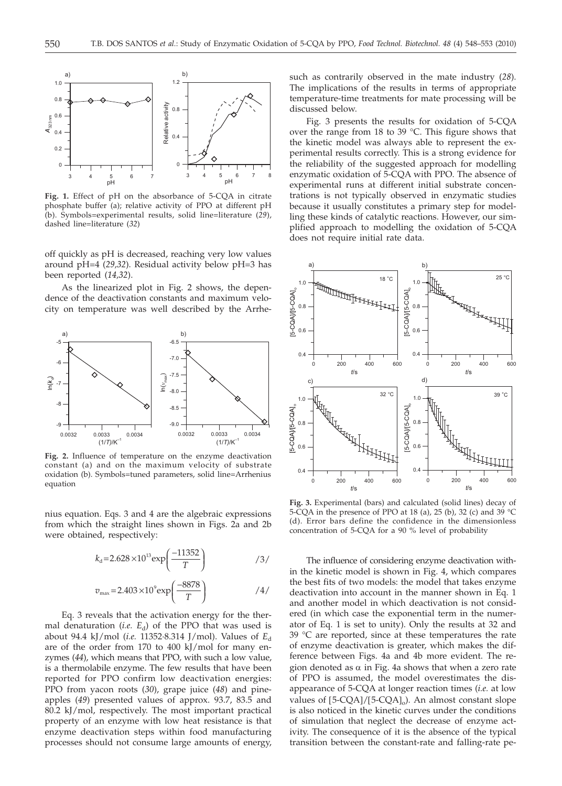

**Fig. 1.** Effect of pH on the absorbance of 5-CQA in citrate phosphate buffer (a); relative activity of PPO at different pH (b). Symbols=experimental results, solid line=literature (*29*), dashed line=literature (*32*)

off quickly as pH is decreased, reaching very low values around pH=4 (*29,32*). Residual activity below pH=3 has been reported (*14,32*).

As the linearized plot in Fig. 2 shows, the dependence of the deactivation constants and maximum velocity on temperature was well described by the Arrhe-



**Fig. 2.** Influence of temperature on the enzyme deactivation constant (a) and on the maximum velocity of substrate oxidation (b). Symbols=tuned parameters, solid line=Arrhenius equation

nius equation. Eqs. 3 and 4 are the algebraic expressions from which the straight lines shown in Figs. 2a and 2b were obtained, respectively:

$$
k_{\rm d} = 2.628 \times 10^{13} \exp\left(\frac{-11352}{T}\right) \tag{3}
$$

$$
v_{\text{max}} = 2.403 \times 10^9 \exp\left(\frac{-8878}{T}\right) \tag{4}
$$

Eq. 3 reveals that the activation energy for the thermal denaturation (*i.e.*  $E_d$ ) of the PPO that was used is about 94.4 kJ/mol (*i.e.* 11352-8.314 J/mol). Values of  $E_d$ are of the order from 170 to 400 kJ/mol for many enzymes (*44*), which means that PPO, with such a low value, is a thermolabile enzyme. The few results that have been reported for PPO confirm low deactivation energies: PPO from yacon roots (*30*), grape juice (*48*) and pineapples (*49*) presented values of approx. 93.7, 83.5 and 80.2 kJ/mol, respectively. The most important practical property of an enzyme with low heat resistance is that enzyme deactivation steps within food manufacturing processes should not consume large amounts of energy, such as contrarily observed in the mate industry (*28*). The implications of the results in terms of appropriate temperature-time treatments for mate processing will be discussed below.

Fig. 3 presents the results for oxidation of 5-CQA over the range from 18 to 39 °C. This figure shows that the kinetic model was always able to represent the experimental results correctly. This is a strong evidence for the reliability of the suggested approach for modelling enzymatic oxidation of 5-CQA with PPO. The absence of experimental runs at different initial substrate concentrations is not typically observed in enzymatic studies because it usually constitutes a primary step for modelling these kinds of catalytic reactions. However, our simplified approach to modelling the oxidation of 5-CQA does not require initial rate data.



**Fig. 3.** Experimental (bars) and calculated (solid lines) decay of 5-CQA in the presence of PPO at 18 (a), 25 (b), 32 (c) and 39 °C (d). Error bars define the confidence in the dimensionless concentration of 5-CQA for a 90 % level of probability

The influence of considering enzyme deactivation within the kinetic model is shown in Fig. 4, which compares the best fits of two models: the model that takes enzyme deactivation into account in the manner shown in Eq. 1 and another model in which deactivation is not considered (in which case the exponential term in the numerator of Eq. 1 is set to unity). Only the results at 32 and 39 °C are reported, since at these temperatures the rate of enzyme deactivation is greater, which makes the difference between Figs. 4a and 4b more evident. The region denoted as  $\alpha$  in Fig. 4a shows that when a zero rate of PPO is assumed, the model overestimates the disappearance of 5-CQA at longer reaction times (*i.e.* at low values of  $[5-CQA]/[5-CQA]_0$ . An almost constant slope is also noticed in the kinetic curves under the conditions of simulation that neglect the decrease of enzyme activity. The consequence of it is the absence of the typical transition between the constant-rate and falling-rate pe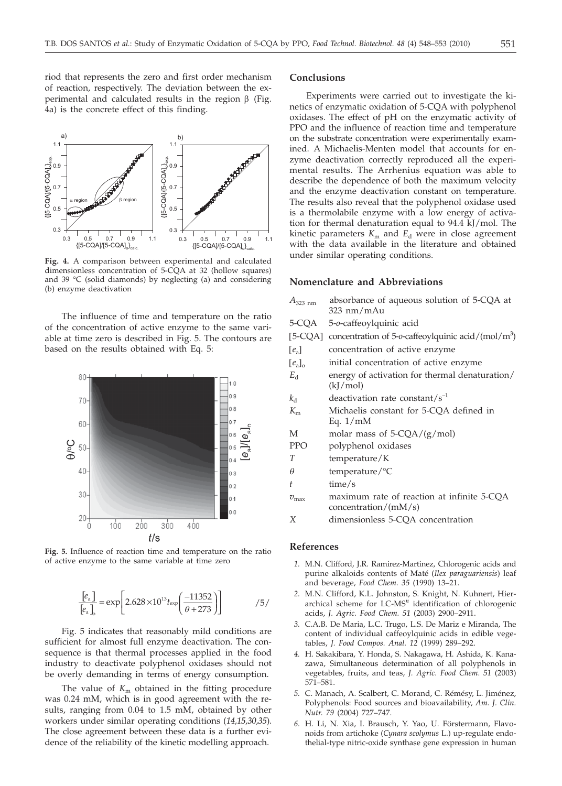riod that represents the zero and first order mechanism of reaction, respectively. The deviation between the experimental and calculated results in the region  $\beta$  (Fig. 4a) is the concrete effect of this finding.



**Fig. 4.** A comparison between experimental and calculated dimensionless concentration of 5-CQA at 32 (hollow squares) and 39 °C (solid diamonds) by neglecting (a) and considering (b) enzyme deactivation

The influence of time and temperature on the ratio of the concentration of active enzyme to the same variable at time zero is described in Fig. 5. The contours are based on the results obtained with Eq. 5:



**Fig. 5.** Influence of reaction time and temperature on the ratio of active enzyme to the same variable at time zero

$$
\frac{[e_{\rm a}]}{[e_{\rm a}]_{\rm o}} = \exp\left[2.628 \times 10^{13} t_{\rm exp}\left(\frac{-11352}{\theta + 273}\right)\right] \tag{5/}
$$

Fig. 5 indicates that reasonably mild conditions are sufficient for almost full enzyme deactivation. The consequence is that thermal processes applied in the food industry to deactivate polyphenol oxidases should not be overly demanding in terms of energy consumption.

The value of  $K<sub>m</sub>$  obtained in the fitting procedure was 0.24 mM, which is in good agreement with the results, ranging from 0.04 to 1.5 mM, obtained by other workers under similar operating conditions (*14,15,30,35*). The close agreement between these data is a further evidence of the reliability of the kinetic modelling approach.

### **Conclusions**

Experiments were carried out to investigate the kinetics of enzymatic oxidation of 5-CQA with polyphenol oxidases. The effect of pH on the enzymatic activity of PPO and the influence of reaction time and temperature on the substrate concentration were experimentally examined. A Michaelis-Menten model that accounts for enzyme deactivation correctly reproduced all the experimental results. The Arrhenius equation was able to describe the dependence of both the maximum velocity and the enzyme deactivation constant on temperature. The results also reveal that the polyphenol oxidase used is a thermolabile enzyme with a low energy of activation for thermal denaturation equal to 94.4 kJ/mol. The kinetic parameters  $K<sub>m</sub>$  and  $E<sub>d</sub>$  were in close agreement with the data available in the literature and obtained under similar operating conditions.

#### **Nomenclature and Abbreviations**

*A*<sub>323 nm</sub> absorbance of aqueous solution of 5-CQA at 323 nm/mAu 5-CQA 5-*o*-caffeoylquinic acid [5-CQA] concentration of 5-*o*-caffeoylquinic acid/(mol/m3 ) [*e*<sub>a</sub>] concentration of active enzyme <br>[*e*<sub>a</sub>]<sub>0</sub> initial concentration of active en [*e*<sub>a</sub>]<sub>o</sub> initial concentration of active enzyme <br>  $E_d$  energy of activation for thermal denatu energy of activation for thermal denaturation/ (kJ/mol)  $k_d$  deactivation rate constant/s<sup>-1</sup> *K*<sup>m</sup> Michaelis constant for 5-CQA defined in Eq. 1/mM M molar mass of 5-CQA/(g/mol) PPO polyphenol oxidases *T* temperature/K  $\theta$  temperature/°C<br>*t* time/s time/s  $v_{\text{max}}$  maximum rate of reaction at infinite 5-CQA concentration/(mM/s) *X* dimensionless 5-CQA concentration

## **References**

- *1.* M.N. Clifford, J.R. Ramirez-Martinez, Chlorogenic acids and purine alkaloids contents of Maté (*Ilex paraguariensis*) leaf and beverage, *Food Chem. 35* (1990) 13–21.
- *2.* M.N. Clifford, K.L. Johnston, S. Knight, N. Kuhnert, Hierarchical scheme for LC-MS*<sup>n</sup>* identification of chlorogenic acids, *J. Agric. Food Chem. 51* (2003) 2900–2911.
- *3.* C.A.B. De Maria, L.C. Trugo, L.S. De Mariz e Miranda, The content of individual caffeoylquinic acids in edible vegetables, *J. Food Compos. Anal. 12* (1999) 289–292.
- *4.* H. Sakakibara, Y. Honda, S. Nakagawa, H. Ashida, K. Kanazawa, Simultaneous determination of all polyphenols in vegetables, fruits, and teas, *J. Agric. Food Chem. 51* (2003) 571–581.
- *5.* C. Manach, A. Scalbert, C. Morand, C. Rémésy, L. Jiménez, Polyphenols: Food sources and bioavailability, *Am. J. Clin. Nutr. 79* (2004) 727–747.
- *6.* H. Li, N. Xia, I. Brausch, Y. Yao, U. Förstermann, Flavonoids from artichoke (*Cynara scolymus* L.) up-regulate endothelial-type nitric-oxide synthase gene expression in human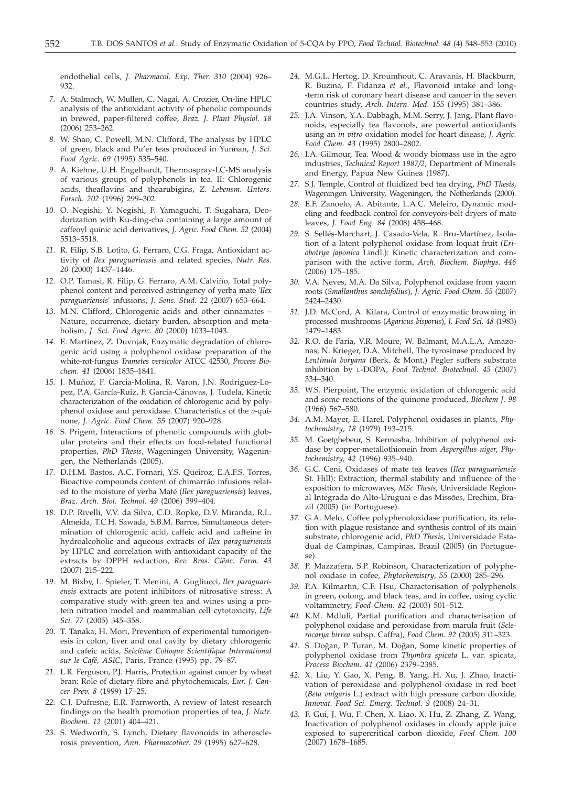endothelial cells, *J. Pharmacol. Exp. Ther. 310* (2004) 926– 932.

- *7.* A. Stalmach, W. Mullen, C. Nagai, A. Crozier, On-line HPLC analysis of the antioxidant activity of phenolic compounds in brewed, paper-filtered coffee, *Braz. J. Plant Physiol. 18* (2006) 253–262.
- *8.* W. Shao, C. Powell, M.N. Clifford, The analysis by HPLC of green, black and Pu'er teas produced in Yunnan, *J. Sci. Food Agric. 69* (1995) 535–540.
- *9.* A. Kiehne, U.H. Engelhardt, Thermospray-LC-MS analysis of various groups of polyphenols in tea. II: Chlorogenic acids, theaflavins and thearubigins, *Z. Lebensm. Unters. Forsch. 202* (1996) 299–302.
- *10.* O. Negishi, Y. Negishi, F. Yamaguchi, T. Sugahara, Deodorization with Ku-ding-cha containing a large amount of caffeoyl quinic acid derivatives, *J. Agric. Food Chem. 52* (2004) 5513–5518.
- *11.* R. Filip, S.B. Lotito, G. Ferraro, C.G. Fraga, Antioxidant activity of *Ilex paraguariensis* and related species, *Nutr. Res. 20* (2000) 1437–1446.
- *12.* O.P. Tamasi, R. Filip, G. Ferraro, A.M. Calviño, Total polyphenol content and perceived astringency of yerba mate '*Ilex paraguariensis*' infusions, *J. Sens. Stud. 22* (2007) 653–664.
- *13.* M.N. Clifford, Chlorogenic acids and other cinnamates Nature, occurrence, dietary burden, absorption and metabolism, *J. Sci. Food Agric. 80* (2000) 1033–1043.
- *14.* E. Martinez, Z. Duvnjak, Enzymatic degradation of chlorogenic acid using a polyphenol oxidase preparation of the white-rot-fungus *Trametes versicolor* ATCC 42530, *Process Biochem. 41* (2006) 1835–1841.
- *15.* J. Muñoz, F. Garcia-Molina, R. Varon, J.N. Rodriguez-Lopez, P.A. García-Ruiz, F. García-Cánovas, J. Tudela, Kinetic characterization of the oxidation of chlorogenic acid by polyphenol oxidase and peroxidase. Characteristics of the *o*-quinone, *J. Agric. Food Chem. 55* (2007) 920–928.
- *16.* S. Prigent, Interactions of phenolic compounds with globular proteins and their effects on food-related functional properties, *PhD Thesis*, Wageningen University, Wageningen, the Netherlands (2005).
- *17.* D.H.M. Bastos, A.C. Fornari, Y.S. Queiroz, E.A.F.S. Torres, Bioactive compounds content of chimarrão infusions related to the moisture of yerba Maté (*Ilex paraguariensis*) leaves, *Braz. Arch. Biol. Technol. 49* (2006) 399–404.
- *18.* D.P. Rivelli, V.V. da Silva, C.D. Ropke, D.V. Miranda, R.L. Almeida, T.C.H. Sawada, S.B.M. Barros, Simultaneous determination of chlorogenic acid, caffeic acid and caffeine in hydroalcoholic and aqueous extracts of *Ilex paraguariensis* by HPLC and correlation with antioxidant capacity of the extracts by DPPH reduction, *Rev. Bras. Ciênc. Farm. 43* (2007) 215–222.
- *19.* M. Bixby, L. Spieler, T. Menini, A. Gugliucci, *Ilex paraguariensis* extracts are potent inhibitors of nitrosative stress: A comparative study with green tea and wines using a protein nitration model and mammalian cell cytotoxicity, *Life Sci. 77* (2005) 345–358.
- *20.* T. Tanaka, H. Mori, Prevention of experimental tumorigenesis in colon, liver and oral cavity by dietary chlorogenic and cafeic acids, *Seizième Colloque Scientifique International sur le Café, ASIC*, Paris, France (1995) pp. 79–87.
- *21.* L.R. Ferguson, P.J. Harris, Protection against cancer by wheat bran: Role of dietary fibre and phytochemicals, *Eur. J. Cancer Prev. 8* (1999) 17–25.
- *22.* C.J. Dufresne, E.R. Farnworth, A review of latest research findings on the health promotion properties of tea, *J. Nutr. Biochem. 12* (2001) 404–421.
- *23.* S. Wedworth, S. Lynch, Dietary flavonoids in atherosclerosis prevention, *Ann. Pharmacother. 29* (1995) 627–628.
- *24.* M.G.L. Hertog, D. Kroumhout, C. Aravanis, H. Blackburn, R. Buzina, F. Fidanza *et al.*, Flavonoid intake and long- -term risk of coronary heart disease and cancer in the seven countries study, *Arch. Intern. Med. 155* (1995) 381–386.
- *25.* J.A. Vinson, Y.A. Dabbagh, M.M. Serry, J. Jang, Plant flavonoids, especially tea flavonols, are powerful antioxidants using an *in vitro* oxidation model for heart disease, *J. Agric. Food Chem. 43* (1995) 2800–2802.
- *26.* I.A. Gilmour, Tea. Wood & woody biomass use in the agro industries, *Technical Report 1987/2*, Department of Minerals and Energy, Papua New Guinea (1987).
- *27.* S.J. Temple, Control of fluidized bed tea drying, *PhD Thesis*, Wageningen University, Wageningen, the Netherlands (2000).
- *28.* E.F. Zanoelo, A. Abitante, L.A.C. Meleiro, Dynamic modeling and feedback control for conveyors-belt dryers of mate leaves, *J. Food Eng. 84* (2008) 458–468.
- *29.* S. Sellés-Marchart, J. Casado-Vela, R. Bru-Martínez, Isolation of a latent polyphenol oxidase from loquat fruit (*Eriobotrya japonica* Lindl.): Kinetic characterization and comparison with the active form, *Arch. Biochem. Biophys. 446* (2006) 175–185.
- *30.* V.A. Neves, M.A. Da Silva, Polyphenol oxidase from yacon roots (*Smallanthus sonchifolius*), *J. Agric. Food Chem. 55* (2007) 2424–2430.
- *31.* J.D. McCord, A. Kilara, Control of enzymatic browning in processed mushrooms (*Agaricus bisporus*), *J. Food Sci. 48* (1983) 1479–1483.
- *32.* R.O. de Faria, V.R. Moure, W. Balmant, M.A.L.A. Amazonas, N. Krieger, D.A. Mitchell, The tyrosinase produced by *Lentinula boryana* (Berk. & Mont.) Pegler suffers substrate inhibition by L-DOPA, *Food Technol. Biotechnol. 45* (2007) 334–340.
- *33.* W.S. Pierpoint, The enzymic oxidation of chlorogenic acid and some reactions of the quinone produced, *Biochem J. 98* (1966) 567–580.
- *34.* A.M. Mayer, E. Harel, Polyphenol oxidases in plants, *Phytochemistry, 18* (1979) 193–215.
- *35.* M. Goetghebeur, S. Kermasha, Inhibition of polyphenol oxidase by copper-metallothionein from *Aspergillus niger*, *Phytochemistry, 42* (1996) 935–940.
- *36.* G.C. Ceni, Oxidases of mate tea leaves (*Ilex paraguariensis* St. Hill): Extraction, thermal stability and influence of the exposition to microwaves, *MSc Thesis*, Universidade Regional Integrada do Alto-Uruguai e das Missões, Erechim, Brazil (2005) (in Portuguese).
- *37.* G.A. Melo, Coffee polyphenoloxidase purification, its relation with plague resistance and synthesis control of its main substrate, chlorogenic acid, *PhD Thesis*, Universidade Estadual de Campinas, Campinas, Brazil (2005) (in Portuguese).
- *38.* P. Mazzafera, S.P. Robinson, Characterization of polyphenol oxidase in cofee, *Phytochemistry, 55* (2000) 285–296.
- *39.* P.A. Kilmartin, C.F. Hsu, Characterisation of polyphenols in green, oolong, and black teas, and in coffee, using cyclic voltammetry, *Food Chem. 82* (2003) 501–512.
- *40.* K.M. Mdluli, Partial purification and characterisation of polyphenol oxidase and peroxidase from marula fruit (*Sclerocarya birrea* subsp. Caffra), *Food Chem. 92* (2005) 311–323.
- 41. S. Doğan, P. Turan, M. Doğan, Some kinetic properties of polyphenol oxidase from *Thymbra spicata* L. var. spicata, *Process Biochem. 41* (2006) 2379–2385.
- *42.* X. Liu, Y. Gao, X. Peng, B. Yang, H. Xu, J. Zhao, Inactivation of peroxidase and polyphenol oxidase in red beet (*Beta vulgaris* L.) extract with high pressure carbon dioxide, *Innovat. Food Sci. Emerg. Technol. 9* (2008) 24–31.
- *43.* F. Gui, J. Wu, F. Chen, X. Liao, X. Hu, Z. Zhang, Z. Wang, Inactivation of polyphenol oxidases in cloudy apple juice exposed to supercritical carbon dioxide, *Food Chem. 100* (2007) 1678–1685.